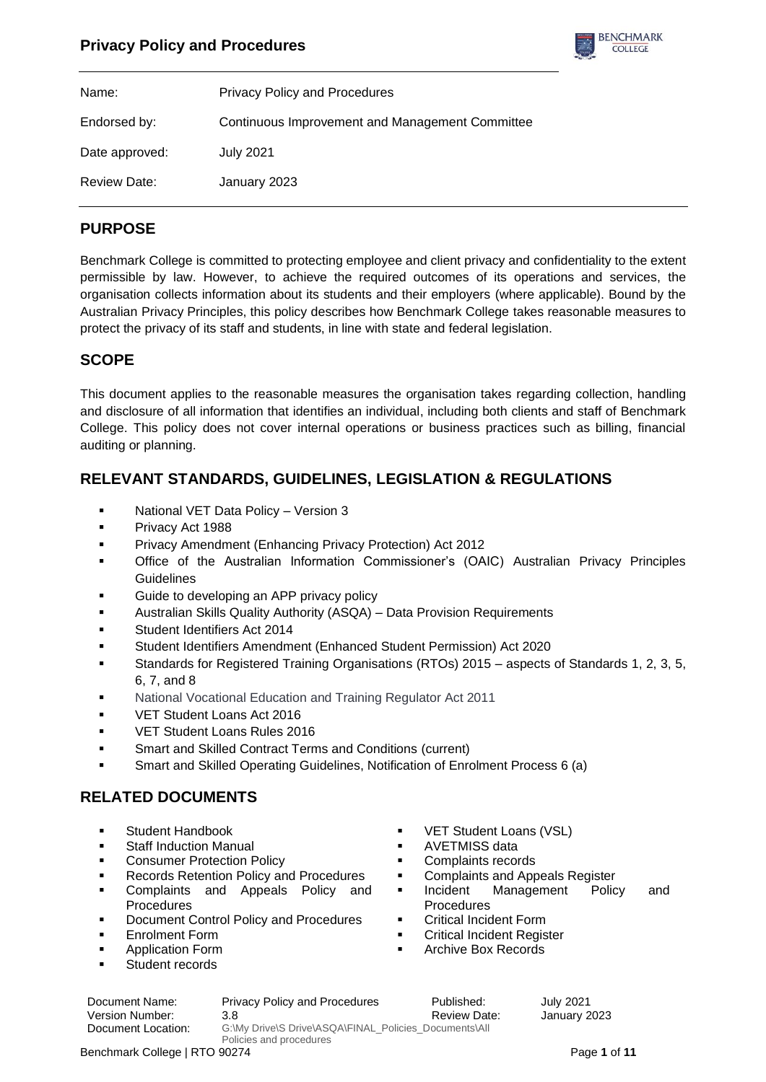

| Name:          | <b>Privacy Policy and Procedures</b>            |
|----------------|-------------------------------------------------|
| Endorsed by:   | Continuous Improvement and Management Committee |
| Date approved: | <b>July 2021</b>                                |
| Review Date:   | January 2023                                    |

# **PURPOSE**

Benchmark College is committed to protecting employee and client privacy and confidentiality to the extent permissible by law. However, to achieve the required outcomes of its operations and services, the organisation collects information about its students and their employers (where applicable). Bound by the Australian Privacy Principles, this policy describes how Benchmark College takes reasonable measures to protect the privacy of its staff and students, in line with state and federal legislation.

# **SCOPE**

This document applies to the reasonable measures the organisation takes regarding collection, handling and disclosure of all information that identifies an individual, including both clients and staff of Benchmark College. This policy does not cover internal operations or business practices such as billing, financial auditing or planning.

# **RELEVANT STANDARDS, GUIDELINES, LEGISLATION & REGULATIONS**

- National VET Data Policy Version 3
- Privacy Act 1988
- Privacy Amendment (Enhancing Privacy Protection) Act 2012
- Office of the Australian Information Commissioner's (OAIC) Australian Privacy Principles **Guidelines**
- Guide to developing an APP privacy policy
- Australian Skills Quality Authority (ASQA) Data Provision Requirements
- Student Identifiers Act 2014
- Student Identifiers Amendment (Enhanced Student Permission) Act 2020
- Standards for Registered Training Organisations (RTOs) 2015 aspects of Standards 1, 2, 3, 5, 6, 7, and 8
- National Vocational Education and Training Regulator Act 2011
- VET Student Loans Act 2016
- VET Student Loans Rules 2016
- Smart and Skilled Contract Terms and Conditions (current)
- Smart and Skilled Operating Guidelines, Notification of Enrolment Process 6 (a)

# **RELATED DOCUMENTS**

- Student Handbook
- **Staff Induction Manual**
- Consumer Protection Policy
- **Records Retention Policy and Procedures**
- Complaints and Appeals Policy and Procedures
- Document Control Policy and Procedures
- **Enrolment Form**
- **Application Form**
- Student records
- VET Student Loans (VSL)
- AVETMISS data
- Complaints records
- Complaints and Appeals Register
- Incident Management Policy and **Procedures**
- **Critical Incident Form**
- **Critical Incident Register**
- Archive Box Records

Document Name: Privacy Policy and Procedures Published: July 2021

Version Number: 3.8 3.8 According Service Control of Review Date: January 2023 Document Location: G:\My Drive\S Drive\ASQA\FINAL\_Policies\_Documents\All Policies and procedures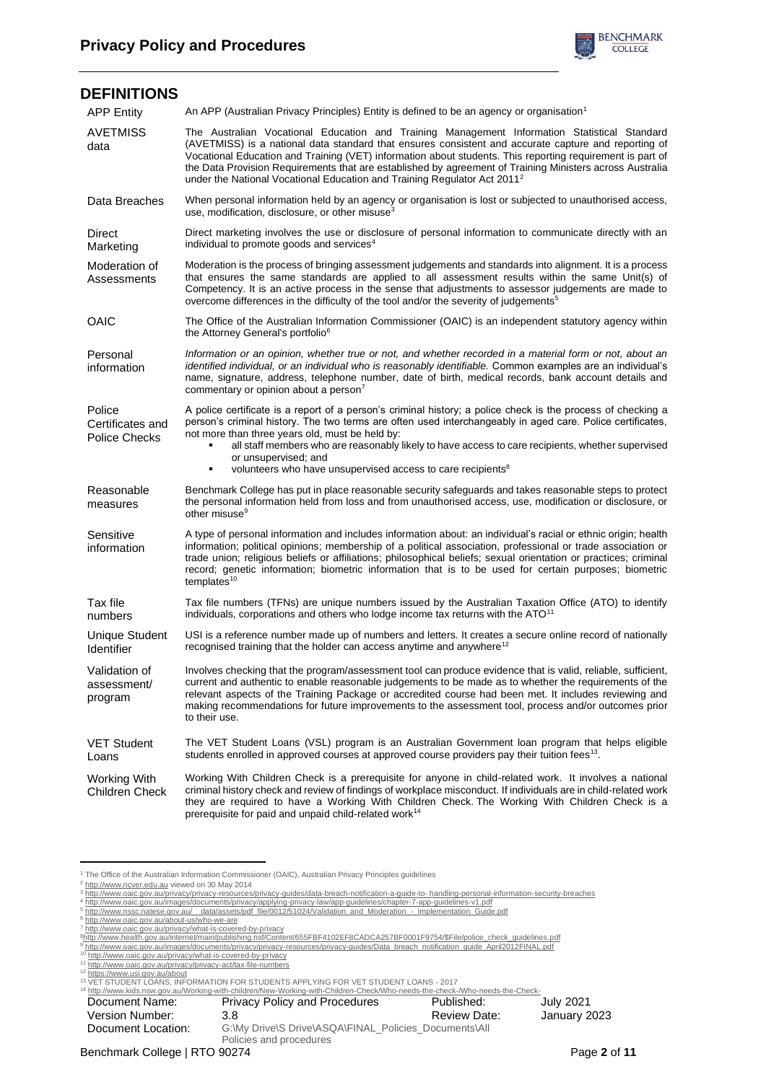

| <b>DEFINITIONS</b>                                 |                                                                                                                                                                                                                                                                                                                                                                                                                                                                                                                       |
|----------------------------------------------------|-----------------------------------------------------------------------------------------------------------------------------------------------------------------------------------------------------------------------------------------------------------------------------------------------------------------------------------------------------------------------------------------------------------------------------------------------------------------------------------------------------------------------|
| <b>APP Entity</b>                                  | An APP (Australian Privacy Principles) Entity is defined to be an agency or organisation <sup>1</sup>                                                                                                                                                                                                                                                                                                                                                                                                                 |
| <b>AVETMISS</b><br>data                            | The Australian Vocational Education and Training Management Information Statistical Standard<br>(AVETMISS) is a national data standard that ensures consistent and accurate capture and reporting of<br>Vocational Education and Training (VET) information about students. This reporting requirement is part of<br>the Data Provision Requirements that are established by agreement of Training Ministers across Australia<br>under the National Vocational Education and Training Regulator Act 2011 <sup>2</sup> |
| Data Breaches                                      | When personal information held by an agency or organisation is lost or subjected to unauthorised access,<br>use, modification, disclosure, or other misuse $3$                                                                                                                                                                                                                                                                                                                                                        |
| Direct<br>Marketing                                | Direct marketing involves the use or disclosure of personal information to communicate directly with an<br>individual to promote goods and services <sup>4</sup>                                                                                                                                                                                                                                                                                                                                                      |
| Moderation of<br>Assessments                       | Moderation is the process of bringing assessment judgements and standards into alignment. It is a process<br>that ensures the same standards are applied to all assessment results within the same Unit(s) of<br>Competency. It is an active process in the sense that adjustments to assessor judgements are made to<br>overcome differences in the difficulty of the tool and/or the severity of judgements <sup>5</sup>                                                                                            |
| <b>OAIC</b>                                        | The Office of the Australian Information Commissioner (OAIC) is an independent statutory agency within<br>the Attorney General's portfolio <sup>6</sup>                                                                                                                                                                                                                                                                                                                                                               |
| Personal<br>information                            | Information or an opinion, whether true or not, and whether recorded in a material form or not, about an<br>identified individual, or an individual who is reasonably identifiable. Common examples are an individual's<br>name, signature, address, telephone number, date of birth, medical records, bank account details and<br>commentary or opinion about a person <sup>7</sup>                                                                                                                                  |
| Police<br>Certificates and<br><b>Police Checks</b> | A police certificate is a report of a person's criminal history; a police check is the process of checking a<br>person's criminal history. The two terms are often used interchangeably in aged care. Police certificates,<br>not more than three years old, must be held by:<br>all staff members who are reasonably likely to have access to care recipients, whether supervised<br>or unsupervised; and<br>volunteers who have unsupervised access to care recipients <sup>8</sup><br>٠                            |
| Reasonable<br>measures                             | Benchmark College has put in place reasonable security safeguards and takes reasonable steps to protect<br>the personal information held from loss and from unauthorised access, use, modification or disclosure, or<br>other misuse <sup>9</sup>                                                                                                                                                                                                                                                                     |
| Sensitive<br>information                           | A type of personal information and includes information about: an individual's racial or ethnic origin; health<br>information; political opinions; membership of a political association, professional or trade association or<br>trade union; religious beliefs or affiliations; philosophical beliefs; sexual orientation or practices; criminal<br>record; genetic information; biometric information that is to be used for certain purposes; biometric<br>templates <sup>10</sup>                                |
| Tax file<br>numbers                                | Tax file numbers (TFNs) are unique numbers issued by the Australian Taxation Office (ATO) to identify<br>individuals, corporations and others who lodge income tax returns with the ATO <sup>11</sup>                                                                                                                                                                                                                                                                                                                 |
| <b>Unique Student</b><br>Identifier                | USI is a reference number made up of numbers and letters. It creates a secure online record of nationally<br>recognised training that the holder can access anytime and anywhere <sup>12</sup>                                                                                                                                                                                                                                                                                                                        |
| Validation of<br>assessment/<br>program            | Involves checking that the program/assessment tool can produce evidence that is valid, reliable, sufficient,<br>current and authentic to enable reasonable judgements to be made as to whether the requirements of the<br>relevant aspects of the Training Package or accredited course had been met. It includes reviewing and<br>making recommendations for future improvements to the assessment tool, process and/or outcomes prior<br>to their use.                                                              |
| <b>VET Student</b><br>Loans                        | The VET Student Loans (VSL) program is an Australian Government loan program that helps eligible<br>students enrolled in approved courses at approved course providers pay their tuition fees <sup>13</sup> .                                                                                                                                                                                                                                                                                                         |
| Working With<br><b>Children Check</b>              | Working With Children Check is a prerequisite for anyone in child-related work. It involves a national<br>criminal history check and review of findings of workplace misconduct. If individuals are in child-related work<br>they are required to have a Working With Children Check. The Working With Children Check is a<br>prerequisite for paid and unpaid child-related work <sup>14</sup>                                                                                                                       |

<sup>&</sup>lt;sup>1</sup> The Office of the Australian Information Commissioner (OAIC), Australian Privacy Principles guidelines

<sup>&</sup>lt;sup>12</sup> <u><https://www.usi.gov.au/about></u><br><sup>13</sup> VET STUDENT LOANS, INFORMATION FOR STUDENTS APPLYING FOR VET STUDENT LOANS - 2017

| <sup>14</sup> http://www.kids.nsw.gov.au/Working-with-children/New-Working-with-Children-Check/Who-needs-the-check-/Who-needs-the-Check- |                                                       |              |              |  |  |
|------------------------------------------------------------------------------------------------------------------------------------------|-------------------------------------------------------|--------------|--------------|--|--|
| Document Name:                                                                                                                           | <b>Privacy Policy and Procedures</b>                  | Published:   | July 2021    |  |  |
| Version Number:                                                                                                                          | 3.8                                                   | Review Date: | January 2023 |  |  |
| Document Location:                                                                                                                       | G:\My Drive\S Drive\ASQA\FINAL Policies Documents\All |              |              |  |  |
|                                                                                                                                          | Policies and procedures                               |              |              |  |  |

<sup>&</sup>lt;sup>2</sup> [http://www.ncver.edu.au](http://www.ncver.edu.au/) viewed on 30 May 2014<br><sup>3</sup> htt<u>p://www.oaic.gov.au/privacy/privacy-resources/privacy-guides/data-breach-notification-a-guide-to- handling-personal-information-security-breaches<br><sup>4</sup> http://www.oai</u>

<sup>&</sup>lt;sup>5</sup> [http://www.nssc.natese.gov.au/\\_\\_data/assets/pdf\\_file/0012/51024/Validation\\_and\\_Moderation\\_-\\_Implementation\\_Guide.pdf](http://www.nssc.natese.gov.au/__data/assets/pdf_file/0012/51024/Validation_and_Moderation_-_Implementation_Guide.pdf)<br><sup>6</sup> <http://www.oaic.gov.au/about-us/who-we-are>

<sup>&</sup>lt;sup>7</sup>http://www.oaic.gov.au/privacy/what-is-covered-by-privac<u>y</u><br><sup>8</sup>http://www.health.gov.au/internet/main/publishing.nsf/Content/655FBF4102EF8CADCA257BF0001F9754/\$File/police\_check\_quidelines.pdf

<sup>&</sup>lt;sup>9</sup> http://www.oaic.gov.au/images/documents/privacy/privacy-resources/privacy-guides/Data breach notification guide April2012FINAL.pdf<br><sup>10</sup> <http://www.oaic.gov.au/privacy/what-is-covered-by-privacy><br><sup>11</sup> http://www.oaic.gov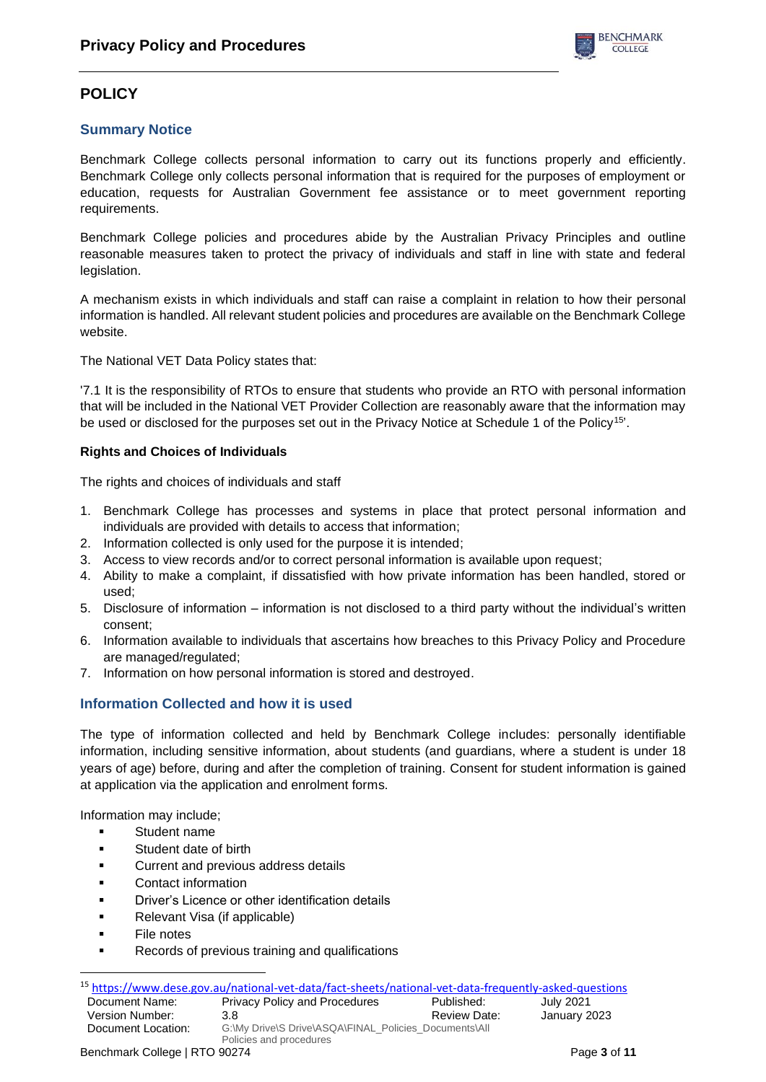# **POLICY**

## **Summary Notice**

Benchmark College collects personal information to carry out its functions properly and efficiently. Benchmark College only collects personal information that is required for the purposes of employment or education, requests for Australian Government fee assistance or to meet government reporting requirements.

Benchmark College policies and procedures abide by the Australian Privacy Principles and outline reasonable measures taken to protect the privacy of individuals and staff in line with state and federal legislation.

A mechanism exists in which individuals and staff can raise a complaint in relation to how their personal information is handled. All relevant student policies and procedures are available on the Benchmark College website.

The National VET Data Policy states that:

'7.1 It is the responsibility of RTOs to ensure that students who provide an RTO with personal information that will be included in the National VET Provider Collection are reasonably aware that the information may be used or disclosed for the purposes set out in the Privacy Notice at Schedule 1 of the Policy<sup>15'</sup>.

### **Rights and Choices of Individuals**

The rights and choices of individuals and staff

- 1. Benchmark College has processes and systems in place that protect personal information and individuals are provided with details to access that information;
- 2. Information collected is only used for the purpose it is intended;
- 3. Access to view records and/or to correct personal information is available upon request;
- 4. Ability to make a complaint, if dissatisfied with how private information has been handled, stored or used;
- 5. Disclosure of information information is not disclosed to a third party without the individual's written consent;
- 6. Information available to individuals that ascertains how breaches to this Privacy Policy and Procedure are managed/regulated;
- 7. Information on how personal information is stored and destroyed.

## **Information Collected and how it is used**

The type of information collected and held by Benchmark College includes: personally identifiable information, including sensitive information, about students (and guardians, where a student is under 18 years of age) before, during and after the completion of training. Consent for student information is gained at application via the application and enrolment forms.

Information may include;

- Student name
- Student date of birth
- **Current and previous address details**
- Contact information
- Driver's Licence or other identification details
- Relevant Visa (if applicable)
- **File notes**
- Records of previous training and qualifications

|                               | <sup>15</sup> https://www.dese.gov.au/national-vet-data/fact-sheets/national-vet-data-frequently-asked-questions |              |              |
|-------------------------------|------------------------------------------------------------------------------------------------------------------|--------------|--------------|
| Document Name:                | <b>Privacy Policy and Procedures</b>                                                                             | Published:   | July 2021    |
| Version Number:               | 3.8                                                                                                              | Review Date: | January 2023 |
| Document Location:            | G:\My Drive\S Drive\ASQA\FINAL Policies Documents\All                                                            |              |              |
|                               | Policies and procedures                                                                                          |              |              |
| Benchmark College   RTO 90274 |                                                                                                                  |              | Page 3 of 11 |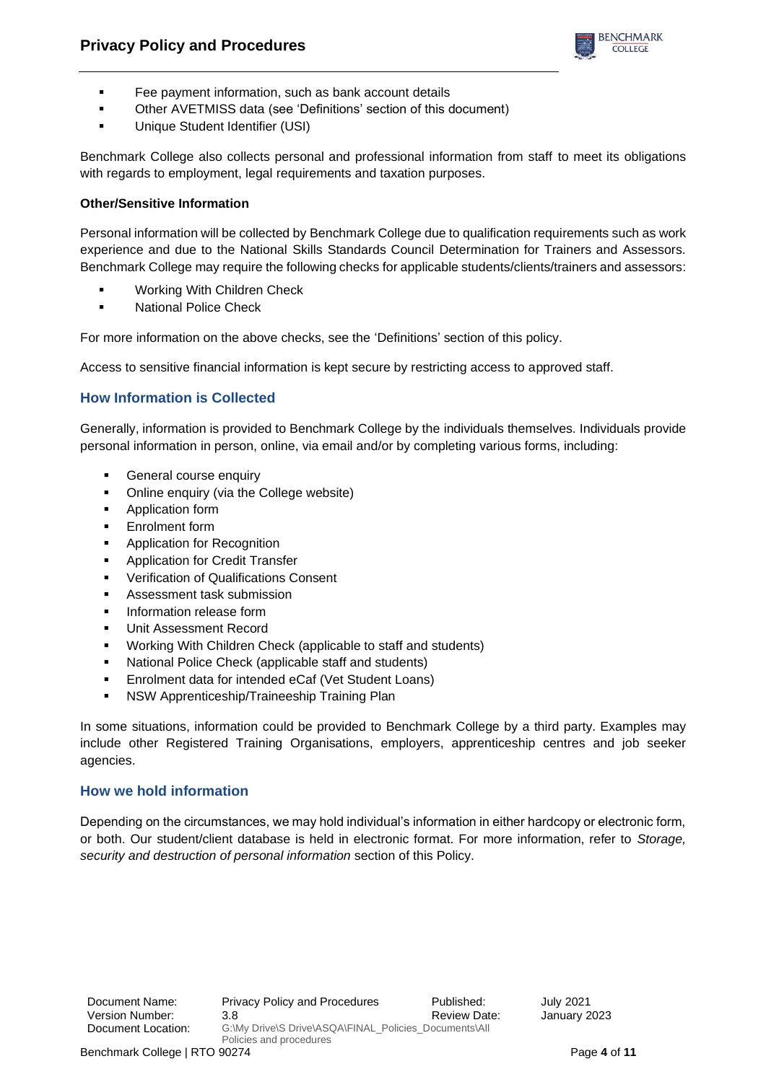

- Fee payment information, such as bank account details
- Other AVETMISS data (see 'Definitions' section of this document)
- Unique Student Identifier (USI)

Benchmark College also collects personal and professional information from staff to meet its obligations with regards to employment, legal requirements and taxation purposes.

### **Other/Sensitive Information**

Personal information will be collected by Benchmark College due to qualification requirements such as work experience and due to the National Skills Standards Council Determination for Trainers and Assessors. Benchmark College may require the following checks for applicable students/clients/trainers and assessors:

- Working With Children Check
- National Police Check

For more information on the above checks, see the 'Definitions' section of this policy.

Access to sensitive financial information is kept secure by restricting access to approved staff.

## **How Information is Collected**

Generally, information is provided to Benchmark College by the individuals themselves. Individuals provide personal information in person, online, via email and/or by completing various forms, including:

- General course enquiry
- Online enquiry (via the College website)
- Application form
- **Enrolment form**
- Application for Recognition
- **Application for Credit Transfer**
- Verification of Qualifications Consent
- Assessment task submission
- Information release form
- Unit Assessment Record
- Working With Children Check (applicable to staff and students)
- National Police Check (applicable staff and students)
- Enrolment data for intended eCaf (Vet Student Loans)
- NSW Apprenticeship/Traineeship Training Plan

In some situations, information could be provided to Benchmark College by a third party. Examples may include other Registered Training Organisations, employers, apprenticeship centres and job seeker agencies.

### **How we hold information**

Depending on the circumstances, we may hold individual's information in either hardcopy or electronic form, or both. Our student/client database is held in electronic format. For more information, refer to *Storage, security and destruction of personal information* section of this Policy.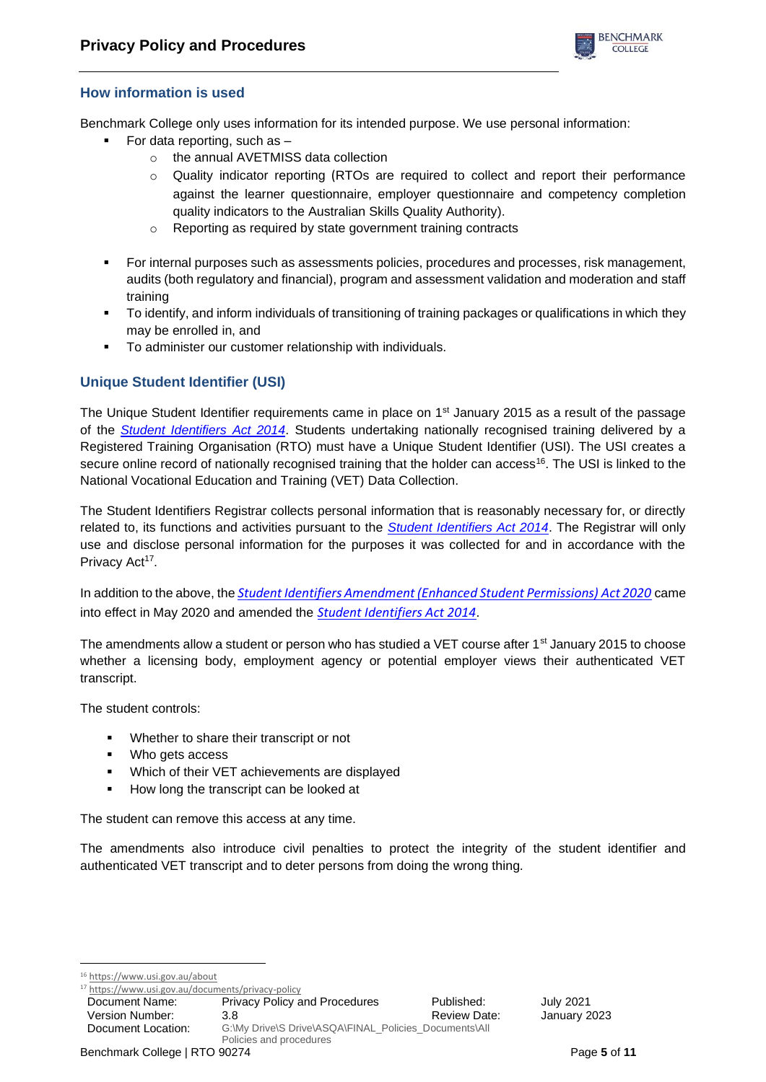

## **How information is used**

Benchmark College only uses information for its intended purpose. We use personal information:

- For data reporting, such as  $$ 
	- o the annual AVETMISS data collection
	- o Quality indicator reporting (RTOs are required to collect and report their performance against the learner questionnaire, employer questionnaire and competency completion quality indicators to the Australian Skills Quality Authority).
	- o Reporting as required by state government training contracts
- For internal purposes such as assessments policies, procedures and processes, risk management, audits (both regulatory and financial), program and assessment validation and moderation and staff training
- To identify, and inform individuals of transitioning of training packages or qualifications in which they may be enrolled in, and
- To administer our customer relationship with individuals.

## **Unique Student Identifier (USI)**

The Unique Student Identifier requirements came in place on  $1<sup>st</sup>$  January 2015 as a result of the passage of the *[Student Identifiers Act 2014](https://www.legislation.gov.au/Details/C2020C00102)*. Students undertaking nationally recognised training delivered by a Registered Training Organisation (RTO) must have a Unique Student Identifier (USI). The USI creates a secure online record of nationally recognised training that the holder can access<sup>16</sup>. The USI is linked to the National Vocational Education and Training (VET) Data Collection.

The Student Identifiers Registrar collects personal information that is reasonably necessary for, or directly related to, its functions and activities pursuant to the *[Student Identifiers Act 2014](https://www.legislation.gov.au/Details/C2020C00102)*. The Registrar will only use and disclose personal information for the purposes it was collected for and in accordance with the Privacy Act<sup>17</sup>.

In addition to the above, the *[Student Identifiers Amendment \(Enhanced Student Permissions\) Act 2020](https://www.legislation.gov.au/Details/C2020A00046)* came into effect in May 2020 and amended the *Student [Identifiers Act 2014](https://www.legislation.gov.au/Details/C2020C00102)*.

The amendments allow a student or person who has studied a VET course after 1<sup>st</sup> January 2015 to choose whether a licensing body, employment agency or potential employer views their authenticated VET transcript.

The student controls:

- Whether to share their transcript or not
- Who gets access
- Which of their VET achievements are displayed
- How long the transcript can be looked at

The student can remove this access at any time.

The amendments also introduce civil penalties to protect the integrity of the student identifier and authenticated VET transcript and to deter persons from doing the wrong thing.

<sup>16</sup> <https://www.usi.gov.au/about>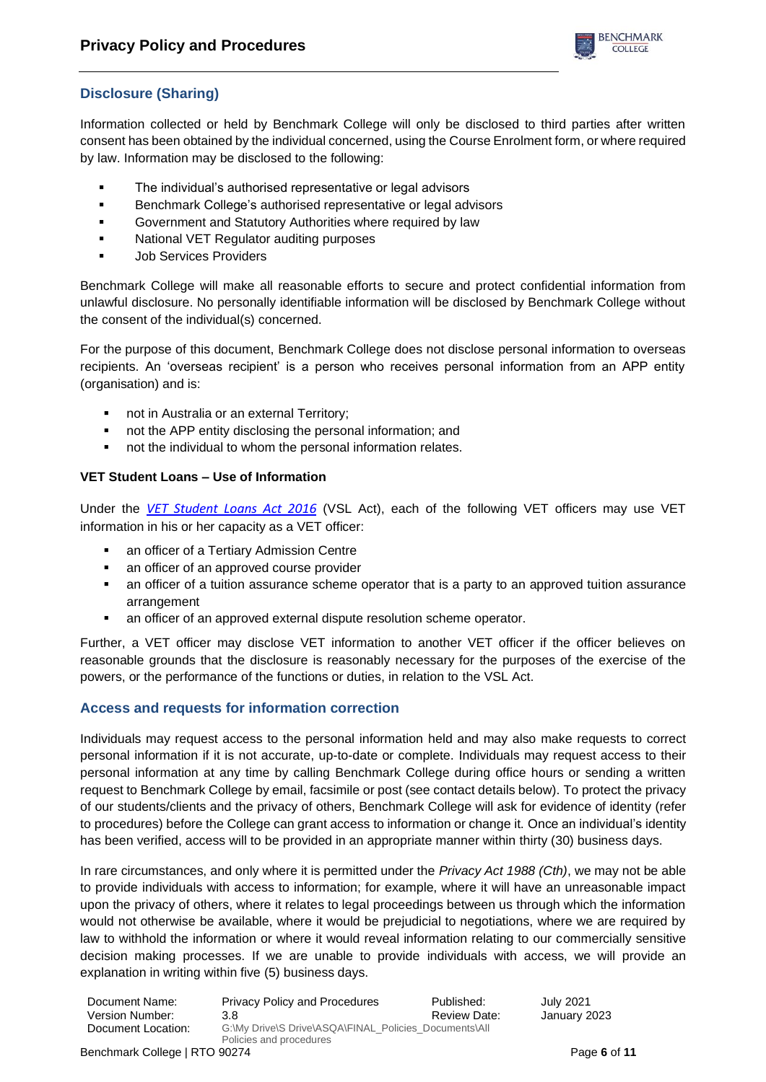

# **Disclosure (Sharing)**

Information collected or held by Benchmark College will only be disclosed to third parties after written consent has been obtained by the individual concerned, using the Course Enrolment form, or where required by law. Information may be disclosed to the following:

- The individual's authorised representative or legal advisors
- Benchmark College's authorised representative or legal advisors
- Government and Statutory Authorities where required by law
- National VET Regulator auditing purposes
- **Job Services Providers**

Benchmark College will make all reasonable efforts to secure and protect confidential information from unlawful disclosure. No personally identifiable information will be disclosed by Benchmark College without the consent of the individual(s) concerned.

For the purpose of this document, Benchmark College does not disclose personal information to overseas recipients. An 'overseas recipient' is a person who receives personal information from an APP entity (organisation) and is:

- not in Australia or an external Territory;
- not the APP entity disclosing the personal information; and
- not the individual to whom the personal information relates.

### **VET Student Loans – Use of Information**

Under the *[VET Student Loans Act](https://www.legislation.gov.au/Details/C2020C00047) 2016* (VSL Act), each of the following VET officers may use VET information in his or her capacity as a VET officer:

- an officer of a Tertiary Admission Centre
- an officer of an approved course provider
- an officer of a tuition assurance scheme operator that is a party to an approved tuition assurance arrangement
- an officer of an approved external dispute resolution scheme operator.

Further, a VET officer may disclose VET information to another VET officer if the officer believes on reasonable grounds that the disclosure is reasonably necessary for the purposes of the exercise of the powers, or the performance of the functions or duties, in relation to the VSL Act.

## **Access and requests for information correction**

Individuals may request access to the personal information held and may also make requests to correct personal information if it is not accurate, up-to-date or complete. Individuals may request access to their personal information at any time by calling Benchmark College during office hours or sending a written request to Benchmark College by email, facsimile or post (see contact details below). To protect the privacy of our students/clients and the privacy of others, Benchmark College will ask for evidence of identity (refer to procedures) before the College can grant access to information or change it. Once an individual's identity has been verified, access will to be provided in an appropriate manner within thirty (30) business days.

In rare circumstances, and only where it is permitted under the *Privacy Act 1988 (Cth)*, we may not be able to provide individuals with access to information; for example, where it will have an unreasonable impact upon the privacy of others, where it relates to legal proceedings between us through which the information would not otherwise be available, where it would be prejudicial to negotiations, where we are required by law to withhold the information or where it would reveal information relating to our commercially sensitive decision making processes. If we are unable to provide individuals with access, we will provide an explanation in writing within five (5) business days.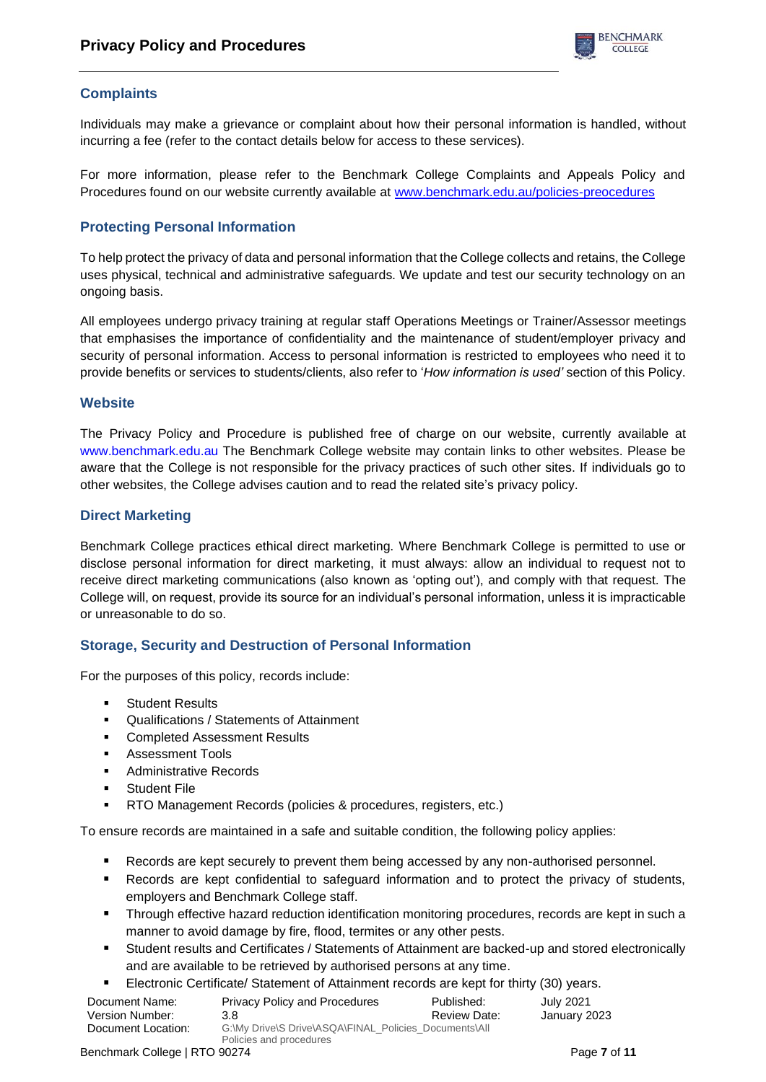# **Complaints**

Individuals may make a grievance or complaint about how their personal information is handled, without incurring a fee (refer to the contact details below for access to these services).

For more information, please refer to the Benchmark College Complaints and Appeals Policy and Procedures found on our website currently available at [www.benchmark.edu.au/policies-preocedures](http://www.benchmark.edu.au/policies-preocedures)

# **Protecting Personal Information**

To help protect the privacy of data and personal information that the College collects and retains, the College uses physical, technical and administrative safeguards. We update and test our security technology on an ongoing basis.

All employees undergo privacy training at regular staff Operations Meetings or Trainer/Assessor meetings that emphasises the importance of confidentiality and the maintenance of student/employer privacy and security of personal information. Access to personal information is restricted to employees who need it to provide benefits or services to students/clients, also refer to '*How information is used'* section of this Policy.

### **Website**

The Privacy Policy and Procedure is published free of charge on our website, currently available at [www.benchmark.edu.au](http://www.benchmark.edu.au/) The Benchmark College website may contain links to other websites. Please be aware that the College is not responsible for the privacy practices of such other sites. If individuals go to other websites, the College advises caution and to read the related site's privacy policy.

### **Direct Marketing**

Benchmark College practices ethical direct marketing. Where Benchmark College is permitted to use or disclose personal information for direct marketing, it must always: allow an individual to request not to receive direct marketing communications (also known as 'opting out'), and comply with that request. The College will, on request, provide its source for an individual's personal information, unless it is impracticable or unreasonable to do so.

## **Storage, Security and Destruction of Personal Information**

For the purposes of this policy, records include:

- Student Results
- Qualifications / Statements of Attainment
- **Completed Assessment Results**
- Assessment Tools
- Administrative Records
- Student File
- RTO Management Records (policies & procedures, registers, etc.)

To ensure records are maintained in a safe and suitable condition, the following policy applies:

- Records are kept securely to prevent them being accessed by any non-authorised personnel.
- Records are kept confidential to safeguard information and to protect the privacy of students, employers and Benchmark College staff.
- Through effective hazard reduction identification monitoring procedures, records are kept in such a manner to avoid damage by fire, flood, termites or any other pests.
- Student results and Certificates / Statements of Attainment are backed-up and stored electronically and are available to be retrieved by authorised persons at any time.
- Electronic Certificate/ Statement of Attainment records are kept for thirty (30) years.

| Document Name:     | <b>Privacy Policy and Procedures</b>                                             | Published:   | July 2021    |
|--------------------|----------------------------------------------------------------------------------|--------------|--------------|
| Version Number:    | 3.8                                                                              | Review Date: | January 2023 |
| Document Location: | G:\My Drive\S Drive\ASQA\FINAL_Policies_Documents\All<br>Policies and procedures |              |              |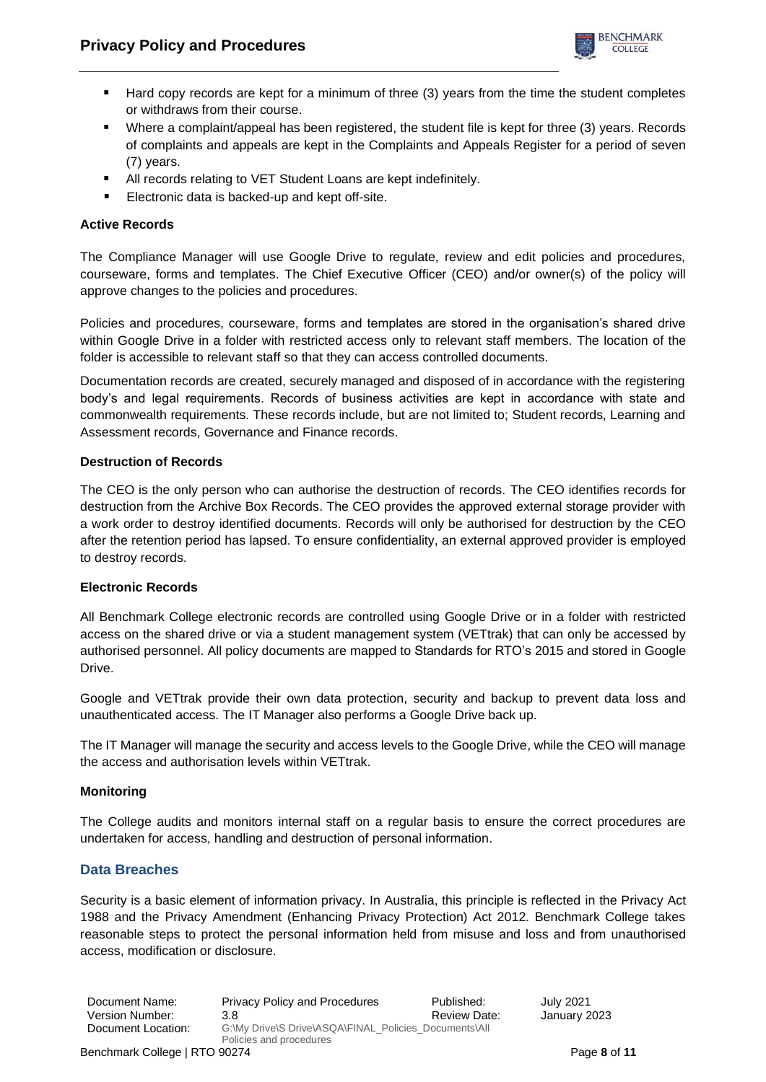

- Hard copy records are kept for a minimum of three (3) years from the time the student completes or withdraws from their course.
- Where a complaint/appeal has been registered, the student file is kept for three (3) years. Records of complaints and appeals are kept in the Complaints and Appeals Register for a period of seven (7) years.
- All records relating to VET Student Loans are kept indefinitely.
- Electronic data is backed-up and kept off-site.

## **Active Records**

The Compliance Manager will use Google Drive to regulate, review and edit policies and procedures, courseware, forms and templates. The Chief Executive Officer (CEO) and/or owner(s) of the policy will approve changes to the policies and procedures.

Policies and procedures, courseware, forms and templates are stored in the organisation's shared drive within Google Drive in a folder with restricted access only to relevant staff members. The location of the folder is accessible to relevant staff so that they can access controlled documents.

Documentation records are created, securely managed and disposed of in accordance with the registering body's and legal requirements. Records of business activities are kept in accordance with state and commonwealth requirements. These records include, but are not limited to; Student records, Learning and Assessment records, Governance and Finance records.

### **Destruction of Records**

The CEO is the only person who can authorise the destruction of records. The CEO identifies records for destruction from the Archive Box Records. The CEO provides the approved external storage provider with a work order to destroy identified documents. Records will only be authorised for destruction by the CEO after the retention period has lapsed. To ensure confidentiality, an external approved provider is employed to destroy records.

### **Electronic Records**

All Benchmark College electronic records are controlled using Google Drive or in a folder with restricted access on the shared drive or via a student management system (VETtrak) that can only be accessed by authorised personnel. All policy documents are mapped to Standards for RTO's 2015 and stored in Google Drive.

Google and VETtrak provide their own data protection, security and backup to prevent data loss and unauthenticated access. The IT Manager also performs a Google Drive back up.

The IT Manager will manage the security and access levels to the Google Drive, while the CEO will manage the access and authorisation levels within VETtrak.

### **Monitoring**

The College audits and monitors internal staff on a regular basis to ensure the correct procedures are undertaken for access, handling and destruction of personal information.

## **Data Breaches**

Security is a basic element of information privacy. In Australia, this principle is reflected in the Privacy Act 1988 and the Privacy Amendment (Enhancing Privacy Protection) Act 2012. Benchmark College takes reasonable steps to protect the personal information held from misuse and loss and from unauthorised access, modification or disclosure.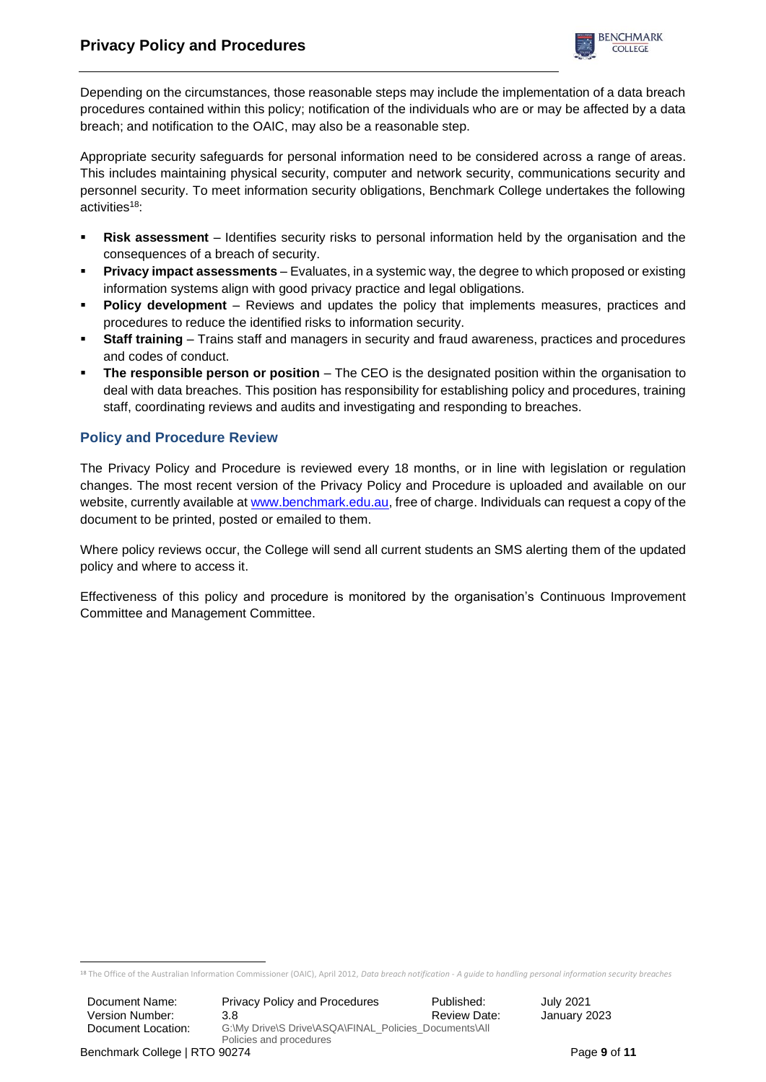

Depending on the circumstances, those reasonable steps may include the implementation of a data breach procedures contained within this policy; notification of the individuals who are or may be affected by a data breach; and notification to the OAIC, may also be a reasonable step.

Appropriate security safeguards for personal information need to be considered across a range of areas. This includes maintaining physical security, computer and network security, communications security and personnel security. To meet information security obligations, Benchmark College undertakes the following activities $18$ :

- **Risk assessment** Identifies security risks to personal information held by the organisation and the consequences of a breach of security.
- **Privacy impact assessments** Evaluates, in a systemic way, the degree to which proposed or existing information systems align with good privacy practice and legal obligations.
- **Policy development** Reviews and updates the policy that implements measures, practices and procedures to reduce the identified risks to information security.
- **Staff training** Trains staff and managers in security and fraud awareness, practices and procedures and codes of conduct.
- **The responsible person or position** The CEO is the designated position within the organisation to deal with data breaches. This position has responsibility for establishing policy and procedures, training staff, coordinating reviews and audits and investigating and responding to breaches.

# **Policy and Procedure Review**

The Privacy Policy and Procedure is reviewed every 18 months, or in line with legislation or regulation changes. The most recent version of the Privacy Policy and Procedure is uploaded and available on our website, currently available at [www.benchmark.edu.au,](http://www.benchmark.edu.au/) free of charge. Individuals can request a copy of the document to be printed, posted or emailed to them.

Where policy reviews occur, the College will send all current students an SMS alerting them of the updated policy and where to access it.

Effectiveness of this policy and procedure is monitored by the organisation's Continuous Improvement Committee and Management Committee.

<sup>18</sup> The Office of the Australian Information Commissioner (OAIC), April 2012, *Data breach notification* - *A guide to handling personal information security breaches*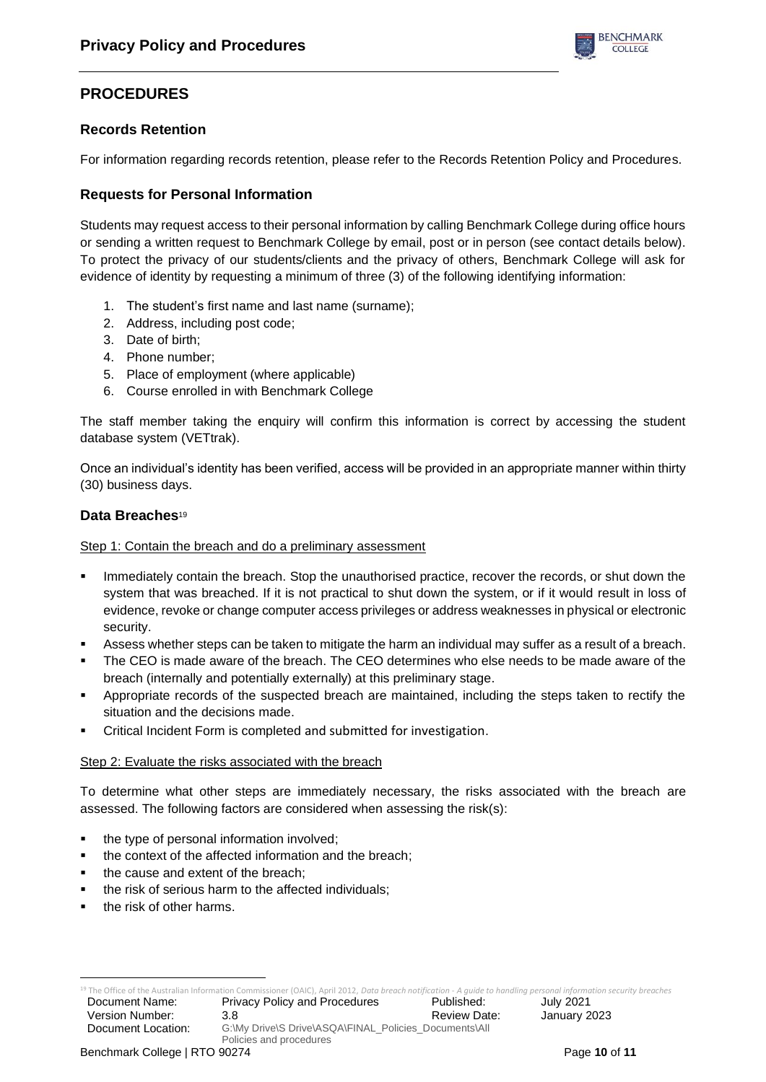

# **PROCEDURES**

## **Records Retention**

For information regarding records retention, please refer to the Records Retention Policy and Procedures.

# **Requests for Personal Information**

Students may request access to their personal information by calling Benchmark College during office hours or sending a written request to Benchmark College by email, post or in person (see contact details below). To protect the privacy of our students/clients and the privacy of others, Benchmark College will ask for evidence of identity by requesting a minimum of three (3) of the following identifying information:

- 1. The student's first name and last name (surname);
- 2. Address, including post code;
- 3. Date of birth;
- 4. Phone number;
- 5. Place of employment (where applicable)
- 6. Course enrolled in with Benchmark College

The staff member taking the enquiry will confirm this information is correct by accessing the student database system (VETtrak).

Once an individual's identity has been verified, access will be provided in an appropriate manner within thirty (30) business days.

### **Data Breaches**<sup>19</sup>

### Step 1: Contain the breach and do a preliminary assessment

- Immediately contain the breach. Stop the unauthorised practice, recover the records, or shut down the system that was breached. If it is not practical to shut down the system, or if it would result in loss of evidence, revoke or change computer access privileges or address weaknesses in physical or electronic security.
- Assess whether steps can be taken to mitigate the harm an individual may suffer as a result of a breach.
- The CEO is made aware of the breach. The CEO determines who else needs to be made aware of the breach (internally and potentially externally) at this preliminary stage.
- Appropriate records of the suspected breach are maintained, including the steps taken to rectify the situation and the decisions made.
- Critical Incident Form is completed and submitted for investigation.

### Step 2: Evaluate the risks associated with the breach

To determine what other steps are immediately necessary, the risks associated with the breach are assessed. The following factors are considered when assessing the risk(s):

- the type of personal information involved;
- the context of the affected information and the breach;
- the cause and extent of the breach;
- the risk of serious harm to the affected individuals;
- the risk of other harms.